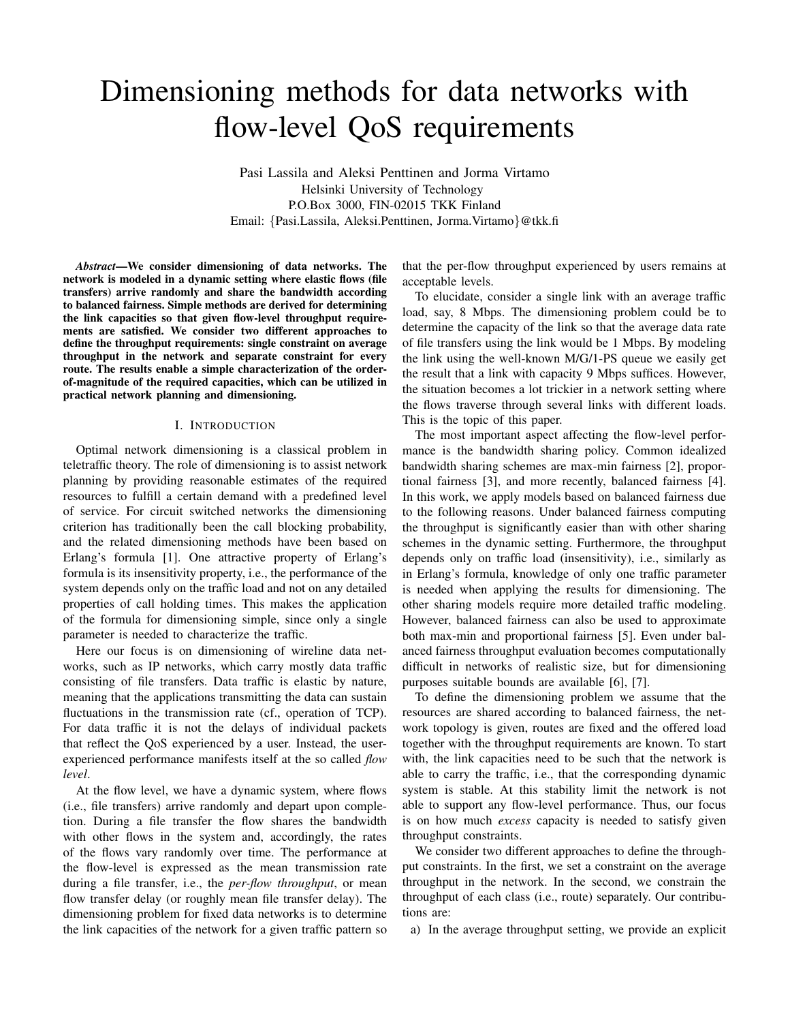# Dimensioning methods for data networks with flow-level QoS requirements

Pasi Lassila and Aleksi Penttinen and Jorma Virtamo Helsinki University of Technology P.O.Box 3000, FIN-02015 TKK Finland Email: {Pasi.Lassila, Aleksi.Penttinen, Jorma.Virtamo}@tkk.fi

*Abstract***—We consider dimensioning of data networks. The network is modeled in a dynamic setting where elastic flows (file transfers) arrive randomly and share the bandwidth according to balanced fairness. Simple methods are derived for determining the link capacities so that given flow-level throughput requirements are satisfied. We consider two different approaches to define the throughput requirements: single constraint on average throughput in the network and separate constraint for every route. The results enable a simple characterization of the orderof-magnitude of the required capacities, which can be utilized in practical network planning and dimensioning.**

## I. INTRODUCTION

Optimal network dimensioning is a classical problem in teletraffic theory. The role of dimensioning is to assist network planning by providing reasonable estimates of the required resources to fulfill a certain demand with a predefined level of service. For circuit switched networks the dimensioning criterion has traditionally been the call blocking probability, and the related dimensioning methods have been based on Erlang's formula [1]. One attractive property of Erlang's formula is its insensitivity property, i.e., the performance of the system depends only on the traffic load and not on any detailed properties of call holding times. This makes the application of the formula for dimensioning simple, since only a single parameter is needed to characterize the traffic.

Here our focus is on dimensioning of wireline data networks, such as IP networks, which carry mostly data traffic consisting of file transfers. Data traffic is elastic by nature, meaning that the applications transmitting the data can sustain fluctuations in the transmission rate (cf., operation of TCP). For data traffic it is not the delays of individual packets that reflect the QoS experienced by a user. Instead, the userexperienced performance manifests itself at the so called *flow level*.

At the flow level, we have a dynamic system, where flows (i.e., file transfers) arrive randomly and depart upon completion. During a file transfer the flow shares the bandwidth with other flows in the system and, accordingly, the rates of the flows vary randomly over time. The performance at the flow-level is expressed as the mean transmission rate during a file transfer, i.e., the *per-flow throughput*, or mean flow transfer delay (or roughly mean file transfer delay). The dimensioning problem for fixed data networks is to determine the link capacities of the network for a given traffic pattern so

that the per-flow throughput experienced by users remains at acceptable levels.

To elucidate, consider a single link with an average traffic load, say, 8 Mbps. The dimensioning problem could be to determine the capacity of the link so that the average data rate of file transfers using the link would be 1 Mbps. By modeling the link using the well-known M/G/1-PS queue we easily get the result that a link with capacity 9 Mbps suffices. However, the situation becomes a lot trickier in a network setting where the flows traverse through several links with different loads. This is the topic of this paper.

The most important aspect affecting the flow-level performance is the bandwidth sharing policy. Common idealized bandwidth sharing schemes are max-min fairness [2], proportional fairness [3], and more recently, balanced fairness [4]. In this work, we apply models based on balanced fairness due to the following reasons. Under balanced fairness computing the throughput is significantly easier than with other sharing schemes in the dynamic setting. Furthermore, the throughput depends only on traffic load (insensitivity), i.e., similarly as in Erlang's formula, knowledge of only one traffic parameter is needed when applying the results for dimensioning. The other sharing models require more detailed traffic modeling. However, balanced fairness can also be used to approximate both max-min and proportional fairness [5]. Even under balanced fairness throughput evaluation becomes computationally difficult in networks of realistic size, but for dimensioning purposes suitable bounds are available [6], [7].

To define the dimensioning problem we assume that the resources are shared according to balanced fairness, the network topology is given, routes are fixed and the offered load together with the throughput requirements are known. To start with, the link capacities need to be such that the network is able to carry the traffic, i.e., that the corresponding dynamic system is stable. At this stability limit the network is not able to support any flow-level performance. Thus, our focus is on how much *excess* capacity is needed to satisfy given throughput constraints.

We consider two different approaches to define the throughput constraints. In the first, we set a constraint on the average throughput in the network. In the second, we constrain the throughput of each class (i.e., route) separately. Our contributions are:

a) In the average throughput setting, we provide an explicit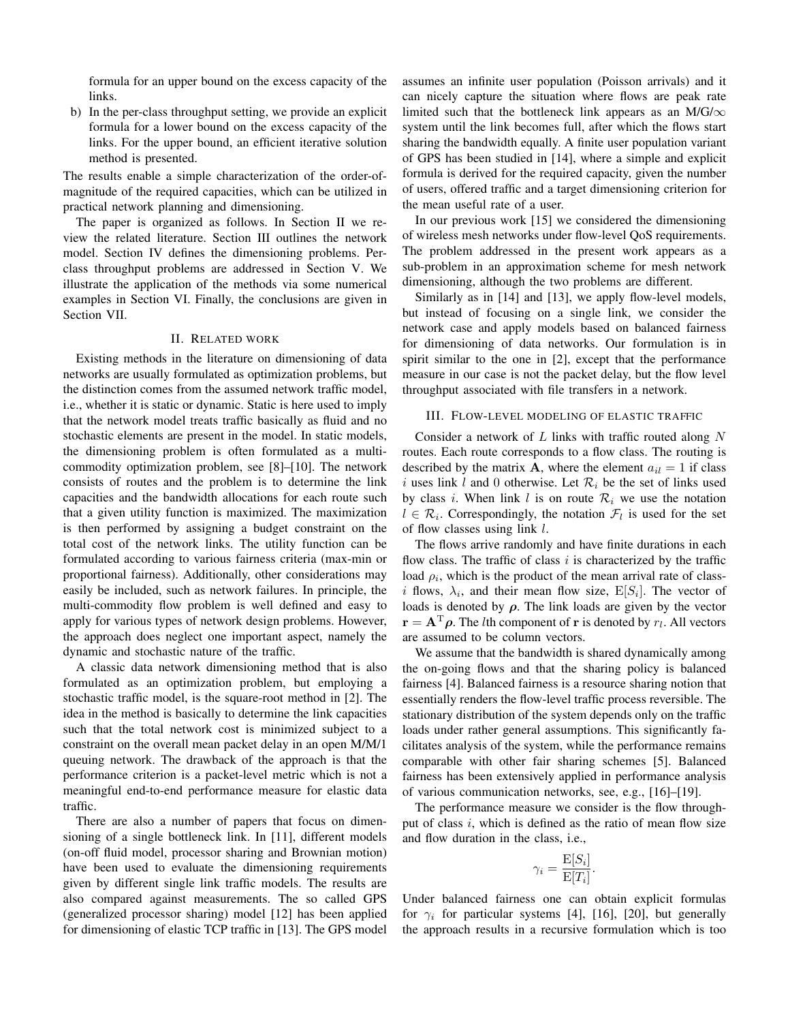formula for an upper bound on the excess capacity of the links.

b) In the per-class throughput setting, we provide an explicit formula for a lower bound on the excess capacity of the links. For the upper bound, an efficient iterative solution method is presented.

The results enable a simple characterization of the order-ofmagnitude of the required capacities, which can be utilized in practical network planning and dimensioning.

The paper is organized as follows. In Section II we review the related literature. Section III outlines the network model. Section IV defines the dimensioning problems. Perclass throughput problems are addressed in Section V. We illustrate the application of the methods via some numerical examples in Section VI. Finally, the conclusions are given in Section VII.

## II. RELATED WORK

Existing methods in the literature on dimensioning of data networks are usually formulated as optimization problems, but the distinction comes from the assumed network traffic model, i.e., whether it is static or dynamic. Static is here used to imply that the network model treats traffic basically as fluid and no stochastic elements are present in the model. In static models, the dimensioning problem is often formulated as a multicommodity optimization problem, see [8]–[10]. The network consists of routes and the problem is to determine the link capacities and the bandwidth allocations for each route such that a given utility function is maximized. The maximization is then performed by assigning a budget constraint on the total cost of the network links. The utility function can be formulated according to various fairness criteria (max-min or proportional fairness). Additionally, other considerations may easily be included, such as network failures. In principle, the multi-commodity flow problem is well defined and easy to apply for various types of network design problems. However, the approach does neglect one important aspect, namely the dynamic and stochastic nature of the traffic.

A classic data network dimensioning method that is also formulated as an optimization problem, but employing a stochastic traffic model, is the square-root method in [2]. The idea in the method is basically to determine the link capacities such that the total network cost is minimized subject to a constraint on the overall mean packet delay in an open M/M/1 queuing network. The drawback of the approach is that the performance criterion is a packet-level metric which is not a meaningful end-to-end performance measure for elastic data traffic.

There are also a number of papers that focus on dimensioning of a single bottleneck link. In [11], different models (on-off fluid model, processor sharing and Brownian motion) have been used to evaluate the dimensioning requirements given by different single link traffic models. The results are also compared against measurements. The so called GPS (generalized processor sharing) model [12] has been applied for dimensioning of elastic TCP traffic in [13]. The GPS model assumes an infinite user population (Poisson arrivals) and it can nicely capture the situation where flows are peak rate limited such that the bottleneck link appears as an M/G/ $\infty$ system until the link becomes full, after which the flows start sharing the bandwidth equally. A finite user population variant of GPS has been studied in [14], where a simple and explicit formula is derived for the required capacity, given the number of users, offered traffic and a target dimensioning criterion for the mean useful rate of a user.

In our previous work [15] we considered the dimensioning of wireless mesh networks under flow-level QoS requirements. The problem addressed in the present work appears as a sub-problem in an approximation scheme for mesh network dimensioning, although the two problems are different.

Similarly as in [14] and [13], we apply flow-level models, but instead of focusing on a single link, we consider the network case and apply models based on balanced fairness for dimensioning of data networks. Our formulation is in spirit similar to the one in [2], except that the performance measure in our case is not the packet delay, but the flow level throughput associated with file transfers in a network.

#### III. FLOW-LEVEL MODELING OF ELASTIC TRAFFIC

Consider a network of  $L$  links with traffic routed along  $N$ routes. Each route corresponds to a flow class. The routing is described by the matrix **A**, where the element  $a_{il} = 1$  if class i uses link l and 0 otherwise. Let  $\mathcal{R}_i$  be the set of links used by class i. When link l is on route  $\mathcal{R}_i$  we use the notation  $l \in \mathcal{R}_i$ . Correspondingly, the notation  $\mathcal{F}_l$  is used for the set of flow classes using link  $l$ .

The flows arrive randomly and have finite durations in each flow class. The traffic of class  $i$  is characterized by the traffic load  $\rho_i$ , which is the product of the mean arrival rate of classi flows,  $\lambda_i$ , and their mean flow size,  $E[S_i]$ . The vector of loads is denoted by  $\rho$ . The link loads are given by the vector  $\mathbf{r} = \mathbf{A}^T \rho$ . The *l*th component of **r** is denoted by  $r_l$ . All vectors are assumed to be column vectors.

We assume that the bandwidth is shared dynamically among the on-going flows and that the sharing policy is balanced fairness [4]. Balanced fairness is a resource sharing notion that essentially renders the flow-level traffic process reversible. The stationary distribution of the system depends only on the traffic loads under rather general assumptions. This significantly facilitates analysis of the system, while the performance remains comparable with other fair sharing schemes [5]. Balanced fairness has been extensively applied in performance analysis of various communication networks, see, e.g., [16]–[19].

The performance measure we consider is the flow throughput of class  $i$ , which is defined as the ratio of mean flow size and flow duration in the class, i.e.,

$$
\gamma_i = \frac{\mathcal{E}[S_i]}{\mathcal{E}[T_i]}.
$$

Under balanced fairness one can obtain explicit formulas for  $\gamma_i$  for particular systems [4], [16], [20], but generally the approach results in a recursive formulation which is too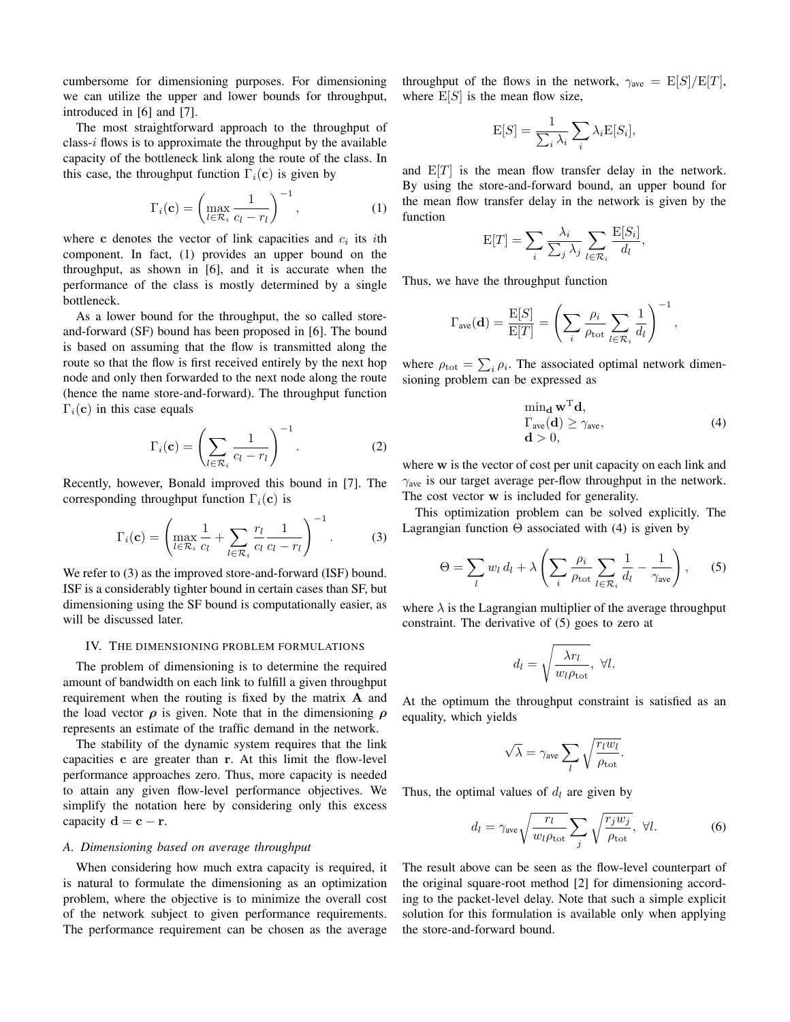cumbersome for dimensioning purposes. For dimensioning we can utilize the upper and lower bounds for throughput, introduced in [6] and [7].

The most straightforward approach to the throughput of class- $i$  flows is to approximate the throughput by the available capacity of the bottleneck link along the route of the class. In this case, the throughput function  $\Gamma_i(\mathbf{c})$  is given by

$$
\Gamma_i(\mathbf{c}) = \left(\max_{l \in \mathcal{R}_i} \frac{1}{c_l - r_l}\right)^{-1},\tag{1}
$$

where **c** denotes the vector of link capacities and  $c_i$  its *i*th component. In fact, (1) provides an upper bound on the throughput, as shown in [6], and it is accurate when the performance of the class is mostly determined by a single bottleneck.

As a lower bound for the throughput, the so called storeand-forward (SF) bound has been proposed in [6]. The bound is based on assuming that the flow is transmitted along the route so that the flow is first received entirely by the next hop node and only then forwarded to the next node along the route (hence the name store-and-forward). The throughput function  $\Gamma_i(\mathbf{c})$  in this case equals

$$
\Gamma_i(\mathbf{c}) = \left(\sum_{l \in \mathcal{R}_i} \frac{1}{c_l - r_l}\right)^{-1}.
$$
 (2)

Recently, however, Bonald improved this bound in [7]. The corresponding throughput function  $\Gamma_i(\mathbf{c})$  is

$$
\Gamma_i(\mathbf{c}) = \left(\max_{l \in \mathcal{R}_i} \frac{1}{c_l} + \sum_{l \in \mathcal{R}_i} \frac{r_l}{c_l} \frac{1}{c_l - r_l}\right)^{-1}.
$$
 (3)

We refer to (3) as the improved store-and-forward (ISF) bound. ISF is a considerably tighter bound in certain cases than SF, but dimensioning using the SF bound is computationally easier, as will be discussed later.

#### IV. THE DIMENSIONING PROBLEM FORMULATIONS

The problem of dimensioning is to determine the required amount of bandwidth on each link to fulfill a given throughput requirement when the routing is fixed by the matrix **A** and the load vector  $\rho$  is given. Note that in the dimensioning  $\rho$ represents an estimate of the traffic demand in the network.

The stability of the dynamic system requires that the link capacities **c** are greater than **r**. At this limit the flow-level performance approaches zero. Thus, more capacity is needed to attain any given flow-level performance objectives. We simplify the notation here by considering only this excess capacity  $d = c - r$ .

#### *A. Dimensioning based on average throughput*

When considering how much extra capacity is required, it is natural to formulate the dimensioning as an optimization problem, where the objective is to minimize the overall cost of the network subject to given performance requirements. The performance requirement can be chosen as the average

throughput of the flows in the network,  $\gamma_{\text{ave}} = \mathbb{E}[S]/\mathbb{E}[T]$ , where  $E[S]$  is the mean flow size,

$$
E[S] = \frac{1}{\sum_{i} \lambda_i} \sum_{i} \lambda_i E[S_i],
$$

and  $E[T]$  is the mean flow transfer delay in the network. By using the store-and-forward bound, an upper bound for the mean flow transfer delay in the network is given by the function

$$
E[T] = \sum_{i} \frac{\lambda_i}{\sum_{j} \lambda_j} \sum_{l \in \mathcal{R}_i} \frac{E[S_i]}{d_l},
$$

Thus, we have the throughput function

$$
\Gamma_{\text{ave}}(\mathbf{d}) = \frac{\mathrm{E}[S]}{\mathrm{E}[T]} = \left(\sum_{i} \frac{\rho_i}{\rho_{\text{tot}}} \sum_{l \in \mathcal{R}_i} \frac{1}{d_l}\right)^{-1},
$$

where  $\rho_{\text{tot}} = \sum_i \rho_i$ . The associated optimal network dimensioning problem can be expressed as

$$
\min_{\mathbf{d}} \mathbf{w}^{\mathrm{T}} \mathbf{d},
$$
\n
$$
\Gamma_{\text{ave}}(\mathbf{d}) \ge \gamma_{\text{ave}},
$$
\n
$$
\mathbf{d} > 0,
$$
\n
$$
(4)
$$

where **w** is the vector of cost per unit capacity on each link and  $\gamma_{\text{ave}}$  is our target average per-flow throughput in the network. The cost vector **w** is included for generality.

This optimization problem can be solved explicitly. The Lagrangian function  $\Theta$  associated with (4) is given by

$$
\Theta = \sum_{l} w_l \, d_l + \lambda \left( \sum_{i} \frac{\rho_i}{\rho_{\text{tot}}} \sum_{l \in \mathcal{R}_i} \frac{1}{d_l} - \frac{1}{\gamma_{\text{ave}}} \right), \quad (5)
$$

where  $\lambda$  is the Lagrangian multiplier of the average throughput constraint. The derivative of (5) goes to zero at

$$
d_l = \sqrt{\frac{\lambda r_l}{w_l \rho_{\rm tot}}}, \ \forall l.
$$

At the optimum the throughput constraint is satisfied as an equality, which yields

$$
\sqrt{\lambda} = \gamma_{\text{ave}} \sum_{l} \sqrt{\frac{r_l w_l}{\rho_{\text{tot}}}}.
$$

Thus, the optimal values of  $d_l$  are given by

$$
d_l = \gamma_{\text{ave}} \sqrt{\frac{r_l}{w_l \rho_{\text{tot}}}} \sum_j \sqrt{\frac{r_j w_j}{\rho_{\text{tot}}}}, \ \forall l. \tag{6}
$$

The result above can be seen as the flow-level counterpart of the original square-root method [2] for dimensioning according to the packet-level delay. Note that such a simple explicit solution for this formulation is available only when applying the store-and-forward bound.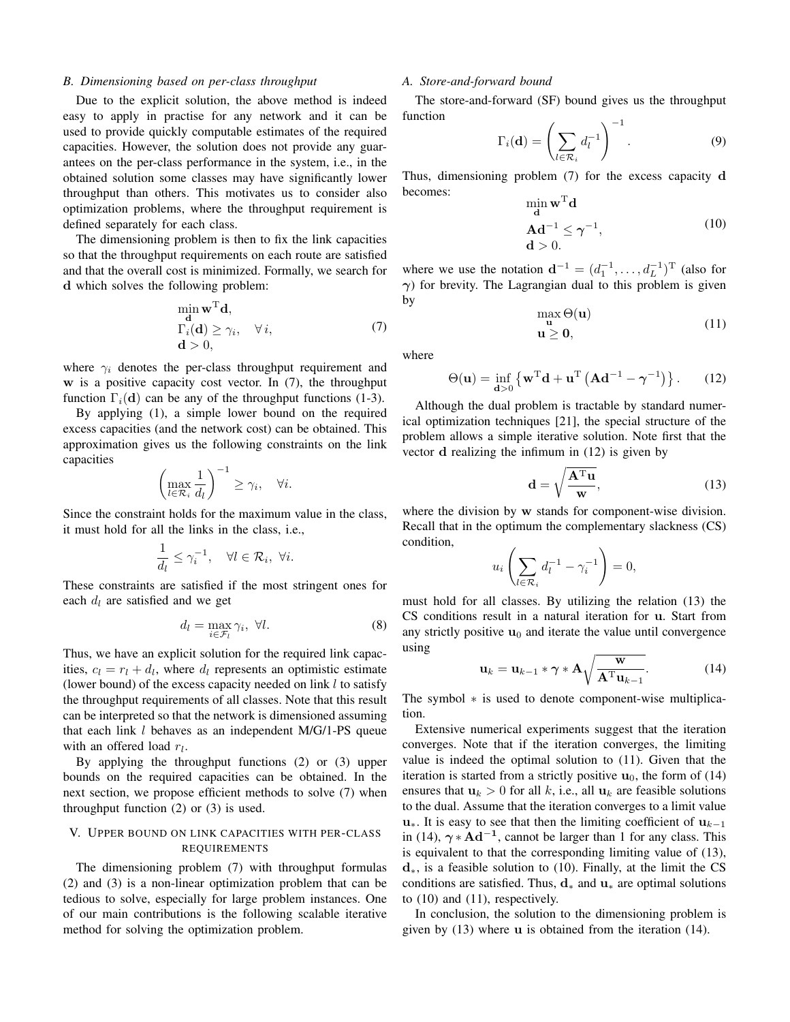## *B. Dimensioning based on per-class throughput*

Due to the explicit solution, the above method is indeed easy to apply in practise for any network and it can be used to provide quickly computable estimates of the required capacities. However, the solution does not provide any guarantees on the per-class performance in the system, i.e., in the obtained solution some classes may have significantly lower throughput than others. This motivates us to consider also optimization problems, where the throughput requirement is defined separately for each class.

The dimensioning problem is then to fix the link capacities so that the throughput requirements on each route are satisfied and that the overall cost is minimized. Formally, we search for **d** which solves the following problem:

$$
\min_{\substack{\mathbf{d} \\ \Gamma_i(\mathbf{d}) \geq \gamma_i, \quad \forall i, \\ \mathbf{d} > 0,}} \mathbf{w}^{\mathbf{T}} \mathbf{d},\tag{7}
$$

where  $\gamma_i$  denotes the per-class throughput requirement and **w** is a positive capacity cost vector. In (7), the throughput function  $\Gamma_i(\mathbf{d})$  can be any of the throughput functions (1-3).

By applying (1), a simple lower bound on the required excess capacities (and the network cost) can be obtained. This approximation gives us the following constraints on the link capacities

$$
\left(\max_{l\in\mathcal{R}_i}\frac{1}{d_l}\right)^{-1}\geq \gamma_i,\quad \forall i.
$$

Since the constraint holds for the maximum value in the class, it must hold for all the links in the class, i.e.,

$$
\frac{1}{d_l}\leq \gamma_i^{-1},\quad \forall l\in \mathcal{R}_i,\ \forall i.
$$

These constraints are satisfied if the most stringent ones for each  $d_l$  are satisfied and we get

$$
d_l = \max_{i \in \mathcal{F}_l} \gamma_i, \ \forall l. \tag{8}
$$

Thus, we have an explicit solution for the required link capacities,  $c_l = r_l + d_l$ , where  $d_l$  represents an optimistic estimate (lower bound) of the excess capacity needed on link  $l$  to satisfy the throughput requirements of all classes. Note that this result can be interpreted so that the network is dimensioned assuming that each link  $l$  behaves as an independent M/G/1-PS queue with an offered load  $r_l$ .

By applying the throughput functions (2) or (3) upper bounds on the required capacities can be obtained. In the next section, we propose efficient methods to solve (7) when throughput function (2) or (3) is used.

## V. UPPER BOUND ON LINK CAPACITIES WITH PER-CLASS REQUIREMENTS

The dimensioning problem (7) with throughput formulas (2) and (3) is a non-linear optimization problem that can be tedious to solve, especially for large problem instances. One of our main contributions is the following scalable iterative method for solving the optimization problem.

#### *A. Store-and-forward bound*

The store-and-forward (SF) bound gives us the throughput function  $\sqrt{-1}$ 

$$
\Gamma_i(\mathbf{d}) = \left(\sum_{l \in \mathcal{R}_i} d_l^{-1}\right)^{-1}.\tag{9}
$$

Thus, dimensioning problem (7) for the excess capacity **d** becomes:

$$
\min_{\mathbf{d}} \mathbf{w}^{\mathrm{T}} \mathbf{d}
$$
  

$$
\mathbf{A} \mathbf{d}^{-1} \leq \gamma^{-1},
$$
  

$$
\mathbf{d} > 0.
$$
 (10)

where we use the notation  $\mathbf{d}^{-1} = (d_1^{-1}, \dots, d_L^{-1})^T$  (also for *γ*) for brevity. The Lagrangian dual to this problem is given by

$$
\max_{\mathbf{u}} \Theta(\mathbf{u})
$$
  
 
$$
\mathbf{u} \ge \mathbf{0},
$$
 (11)

where

$$
\Theta(\mathbf{u}) = \inf_{\mathbf{d} > 0} \left\{ \mathbf{w}^{\mathrm{T}} \mathbf{d} + \mathbf{u}^{\mathrm{T}} \left( \mathbf{A} \mathbf{d}^{-1} - \boldsymbol{\gamma}^{-1} \right) \right\}. \tag{12}
$$

Although the dual problem is tractable by standard numerical optimization techniques [21], the special structure of the problem allows a simple iterative solution. Note first that the vector **d** realizing the infimum in (12) is given by

$$
\mathbf{d} = \sqrt{\frac{\mathbf{A}^{\mathrm{T}} \mathbf{u}}{\mathbf{w}}},\tag{13}
$$

where the division by **w** stands for component-wise division. Recall that in the optimum the complementary slackness (CS) condition,

$$
u_i\left(\sum_{l\in\mathcal{R}_i}d_l^{-1}-\gamma_i^{-1}\right)=0,
$$

must hold for all classes. By utilizing the relation (13) the CS conditions result in a natural iteration for **u**. Start from any strictly positive  $\mathbf{u}_0$  and iterate the value until convergence using

$$
\mathbf{u}_{k} = \mathbf{u}_{k-1} * \boldsymbol{\gamma} * \mathbf{A} \sqrt{\frac{\mathbf{w}}{\mathbf{A}^{\mathrm{T}} \mathbf{u}_{k-1}}}.
$$
 (14)

The symbol ∗ is used to denote component-wise multiplication.

Extensive numerical experiments suggest that the iteration converges. Note that if the iteration converges, the limiting value is indeed the optimal solution to (11). Given that the iteration is started from a strictly positive  $\mathbf{u}_0$ , the form of (14) ensures that  $\mathbf{u}_k > 0$  for all k, i.e., all  $\mathbf{u}_k$  are feasible solutions to the dual. Assume that the iteration converges to a limit value **u**<sup>∗</sup>. It is easy to see that then the limiting coefficient of  $\mathbf{u}_{k-1}$ in (14),  $\gamma$  ∗ **Ad**<sup>-1</sup>, cannot be larger than 1 for any class. This is equivalent to that the corresponding limiting value of (13), **<sup>d</sup>**∗, is a feasible solution to (10). Finally, at the limit the CS conditions are satisfied. Thus, **<sup>d</sup>**<sup>∗</sup> and **<sup>u</sup>**<sup>∗</sup> are optimal solutions to (10) and (11), respectively.

In conclusion, the solution to the dimensioning problem is given by (13) where **u** is obtained from the iteration (14).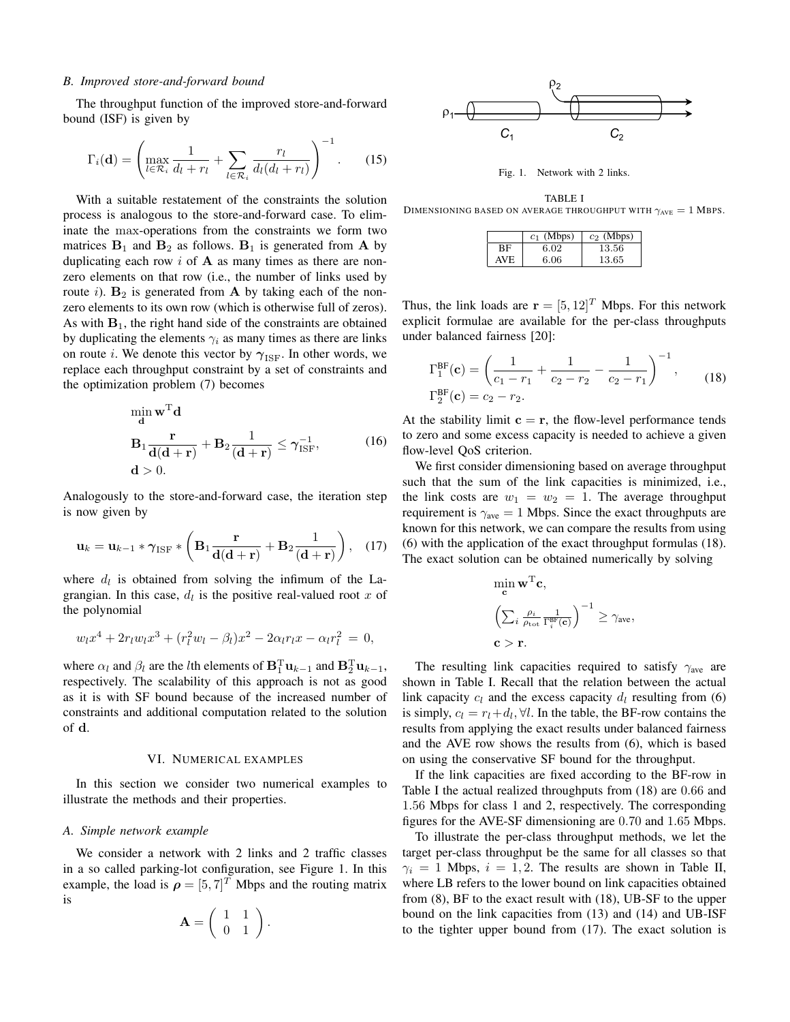#### *B. Improved store-and-forward bound*

The throughput function of the improved store-and-forward bound (ISF) is given by

$$
\Gamma_i(\mathbf{d}) = \left(\max_{l \in \mathcal{R}_i} \frac{1}{d_l + r_l} + \sum_{l \in \mathcal{R}_i} \frac{r_l}{d_l(d_l + r_l)}\right)^{-1}.
$$
 (15)

With a suitable restatement of the constraints the solution process is analogous to the store-and-forward case. To eliminate the max-operations from the constraints we form two matrices  $B_1$  and  $B_2$  as follows.  $B_1$  is generated from A by duplicating each row  $i$  of  $A$  as many times as there are nonzero elements on that row (i.e., the number of links used by route i).  $\mathbf{B}_2$  is generated from **A** by taking each of the nonzero elements to its own row (which is otherwise full of zeros). As with  $B_1$ , the right hand side of the constraints are obtained by duplicating the elements  $\gamma_i$  as many times as there are links on route *i*. We denote this vector by  $\gamma_{\text{ISF}}$ . In other words, we replace each throughput constraint by a set of constraints and the optimization problem (7) becomes

$$
\min_{\mathbf{d}} \mathbf{w}^{\mathrm{T}} \mathbf{d}
$$
\n
$$
\mathbf{B}_{1} \frac{\mathbf{r}}{\mathbf{d}(\mathbf{d} + \mathbf{r})} + \mathbf{B}_{2} \frac{1}{(\mathbf{d} + \mathbf{r})} \leq \gamma_{\mathrm{ISF}}^{-1},
$$
\n
$$
\mathbf{d} > 0.
$$
\n(16)

Analogously to the store-and-forward case, the iteration step is now given by

$$
\mathbf{u}_{k} = \mathbf{u}_{k-1} * \gamma_{\text{ISF}} * \left( \mathbf{B}_{1} \frac{\mathbf{r}}{\mathbf{d}(\mathbf{d} + \mathbf{r})} + \mathbf{B}_{2} \frac{1}{(\mathbf{d} + \mathbf{r})} \right), \quad (17)
$$

where  $d_l$  is obtained from solving the infimum of the Lagrangian. In this case,  $d_l$  is the positive real-valued root x of the polynomial

$$
w_l x^4 + 2r_l w_l x^3 + (r_l^2 w_l - \beta_l) x^2 - 2\alpha_l r_l x - \alpha_l r_l^2 = 0,
$$

where  $\alpha_l$  and  $\beta_l$  are the *l*th elements of  $\mathbf{B}_1^{\mathrm{T}} \mathbf{u}_{k-1}$  and  $\mathbf{B}_2^{\mathrm{T}} \mathbf{u}_{k-1}$ , respectively. The scalability of this approach is not as good as it is with SF bound because of the increased number of constraints and additional computation related to the solution of **d**.

## VI. NUMERICAL EXAMPLES

In this section we consider two numerical examples to illustrate the methods and their properties.

## *A. Simple network example*

We consider a network with 2 links and 2 traffic classes in a so called parking-lot configuration, see Figure 1. In this example, the load is  $\rho = [5, 7]^T$  Mbps and the routing matrix is

$$
\mathbf{A} = \left( \begin{array}{cc} 1 & 1 \\ 0 & 1 \end{array} \right).
$$



Fig. 1. Network with 2 links.

TABLE I DIMENSIONING BASED ON AVERAGE THROUGHPUT WITH  $\gamma_{\text{AVE}} = 1$  MBPS.

|     | $c_1$ (Mbps) | $c_2$ (Mbps) |
|-----|--------------|--------------|
| вF  | 6.02         | $13.56\,$    |
| AVE | 6.06         | 13.65        |

Thus, the link loads are  $\mathbf{r} = [5, 12]^T$  Mbps. For this network explicit formulae are available for the per-class throughputs under balanced fairness [20]:

$$
\Gamma_1^{\text{BF}}(\mathbf{c}) = \left(\frac{1}{c_1 - r_1} + \frac{1}{c_2 - r_2} - \frac{1}{c_2 - r_1}\right)^{-1},\qquad(18)
$$

$$
\Gamma_2^{\text{BF}}(\mathbf{c}) = c_2 - r_2.
$$

At the stability limit  $c = r$ , the flow-level performance tends to zero and some excess capacity is needed to achieve a given flow-level QoS criterion.

We first consider dimensioning based on average throughput such that the sum of the link capacities is minimized, i.e., the link costs are  $w_1 = w_2 = 1$ . The average throughput requirement is  $\gamma_{\text{ave}} = 1$  Mbps. Since the exact throughputs are known for this network, we can compare the results from using (6) with the application of the exact throughput formulas (18). The exact solution can be obtained numerically by solving

$$
\begin{aligned} & \min_{\mathbf{c}} \mathbf{w}^{\mathrm{T}} \mathbf{c}, \\ & \left( \sum_i \frac{\rho_i}{\rho_{\mathrm{tot}}} \frac{1}{\Gamma_i^{\mathrm{BF}}(\mathbf{c})} \right)^{-1} \geq \gamma_{\mathrm{ave}}, \\ & \mathbf{c} > \mathbf{r}. \end{aligned}
$$

The resulting link capacities required to satisfy  $\gamma_{\text{ave}}$  are shown in Table I. Recall that the relation between the actual link capacity  $c_l$  and the excess capacity  $d_l$  resulting from (6) is simply,  $c_l = r_l+d_l$ ,  $\forall l$ . In the table, the BF-row contains the results from applying the exact results under balanced fairness and the AVE row shows the results from (6), which is based on using the conservative SF bound for the throughput.

If the link capacities are fixed according to the BF-row in Table I the actual realized throughputs from (18) are 0.66 and 1.56 Mbps for class 1 and 2, respectively. The corresponding figures for the AVE-SF dimensioning are 0.70 and 1.65 Mbps.

To illustrate the per-class throughput methods, we let the target per-class throughput be the same for all classes so that  $\gamma_i = 1$  Mbps,  $i = 1, 2$ . The results are shown in Table II, where LB refers to the lower bound on link capacities obtained from (8), BF to the exact result with (18), UB-SF to the upper bound on the link capacities from (13) and (14) and UB-ISF to the tighter upper bound from (17). The exact solution is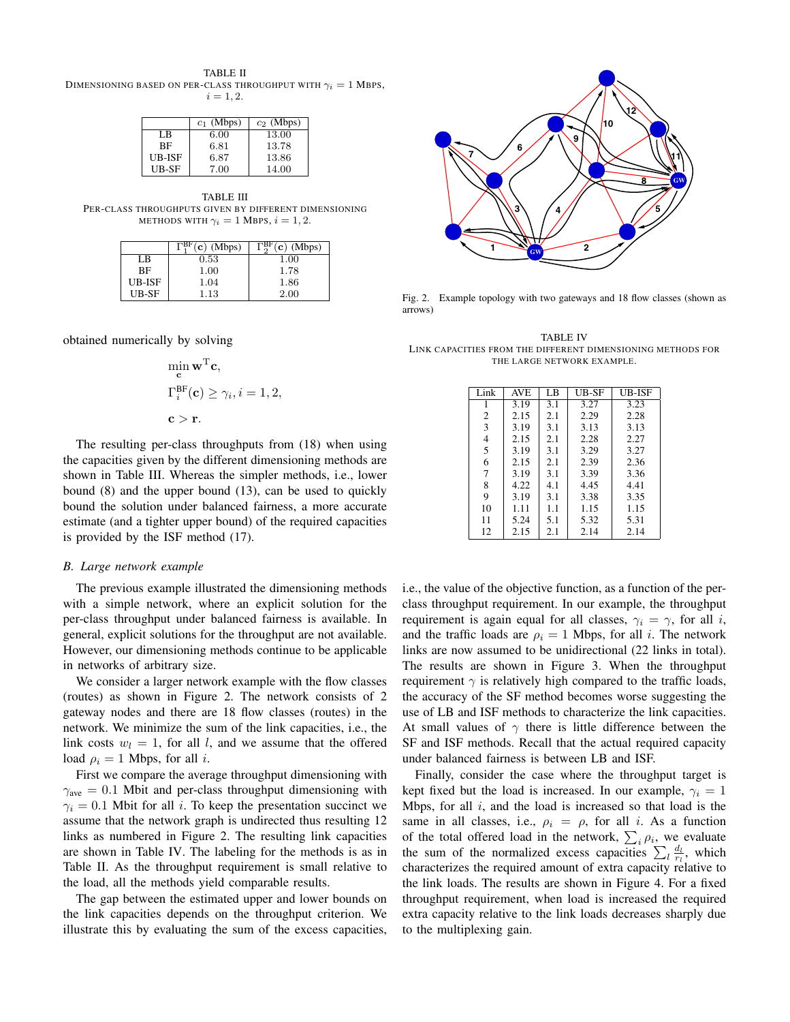TABLE II DIMENSIONING BASED ON PER-CLASS THROUGHPUT WITH  $\gamma_i = 1$  MBPS,  $i = 1, 2.$ 

|               | $c_1$ (Mbps) | $c_2$ (Mbps) |
|---------------|--------------|--------------|
| I B           | 6.00         | 13.00        |
| <b>BF</b>     | 6.81         | 13.78        |
| <b>UB-ISF</b> | 6.87         | 13.86        |
| UB-SF         | 7.00         | 14.00        |

TABLE III PER-CLASS THROUGHPUTS GIVEN BY DIFFERENT DIMENSIONING METHODS WITH  $\gamma_i = 1$  MBPS,  $i = 1, 2$ .

|        | $(c)$ (Mbps) | $\mathbf{c})$ (Mbps) |
|--------|--------------|----------------------|
| LB.    | 0.53         | 1.00                 |
| ВF     | 1.00         | 1.78                 |
| UB-ISF | 1.04         | 1.86                 |
| UB-SF  | 1.13         | 2.00                 |

obtained numerically by solving

$$
\begin{aligned}\n\min_{\mathbf{c}} \mathbf{w}^{\mathrm{T}} \mathbf{c}, \\
\Gamma_i^{\mathrm{BF}}(\mathbf{c}) &\geq \gamma_i, i = 1, 2, \\
\mathbf{c} > \mathbf{r}.\n\end{aligned}
$$

The resulting per-class throughputs from (18) when using the capacities given by the different dimensioning methods are shown in Table III. Whereas the simpler methods, i.e., lower bound (8) and the upper bound (13), can be used to quickly bound the solution under balanced fairness, a more accurate estimate (and a tighter upper bound) of the required capacities is provided by the ISF method (17).

#### *B. Large network example*

The previous example illustrated the dimensioning methods with a simple network, where an explicit solution for the per-class throughput under balanced fairness is available. In general, explicit solutions for the throughput are not available. However, our dimensioning methods continue to be applicable in networks of arbitrary size.

We consider a larger network example with the flow classes (routes) as shown in Figure 2. The network consists of 2 gateway nodes and there are 18 flow classes (routes) in the network. We minimize the sum of the link capacities, i.e., the link costs  $w_l = 1$ , for all l, and we assume that the offered load  $\rho_i = 1$  Mbps, for all *i*.

First we compare the average throughput dimensioning with  $\gamma_{\text{ave}} = 0.1$  Mbit and per-class throughput dimensioning with  $\gamma_i = 0.1$  Mbit for all i. To keep the presentation succinct we assume that the network graph is undirected thus resulting 12 links as numbered in Figure 2. The resulting link capacities are shown in Table IV. The labeling for the methods is as in Table II. As the throughput requirement is small relative to the load, all the methods yield comparable results.

The gap between the estimated upper and lower bounds on the link capacities depends on the throughput criterion. We illustrate this by evaluating the sum of the excess capacities,



Fig. 2. Example topology with two gateways and 18 flow classes (shown as arrows)

TABLE IV LINK CAPACITIES FROM THE DIFFERENT DIMENSIONING METHODS FOR THE LARGE NETWORK EXAMPLE.

| Link           | <b>AVE</b> | LB  | UB-SF | UB-ISF |  |  |
|----------------|------------|-----|-------|--------|--|--|
| 1              | 3.19       | 3.1 | 3.27  | 3.23   |  |  |
| $\overline{c}$ | 2.15       | 2.1 | 2.29  | 2.28   |  |  |
| 3              | 3.19       | 3.1 | 3.13  | 3.13   |  |  |
| 4              | 2.15       | 2.1 | 2.28  | 2.27   |  |  |
| 5              | 3.19       | 3.1 | 3.29  | 3.27   |  |  |
| 6              | 2.15       | 2.1 | 2.39  | 2.36   |  |  |
| 7              | 3.19       | 3.1 | 3.39  | 3.36   |  |  |
| 8              | 4.22       | 4.1 | 4.45  | 4.41   |  |  |
| 9              | 3.19       | 3.1 | 3.38  | 3.35   |  |  |
| 10             | 1.11       | 1.1 | 1.15  | 1.15   |  |  |
| 11             | 5.24       | 5.1 | 5.32  | 5.31   |  |  |
| 12             | 2.15       | 2.1 | 2.14  | 2.14   |  |  |
|                |            |     |       |        |  |  |

i.e., the value of the objective function, as a function of the perclass throughput requirement. In our example, the throughput requirement is again equal for all classes,  $\gamma_i = \gamma$ , for all i, and the traffic loads are  $\rho_i = 1$  Mbps, for all *i*. The network links are now assumed to be unidirectional (22 links in total). The results are shown in Figure 3. When the throughput requirement  $\gamma$  is relatively high compared to the traffic loads, the accuracy of the SF method becomes worse suggesting the use of LB and ISF methods to characterize the link capacities. At small values of  $\gamma$  there is little difference between the SF and ISF methods. Recall that the actual required capacity under balanced fairness is between LB and ISF.

Finally, consider the case where the throughput target is kept fixed but the load is increased. In our example,  $\gamma_i = 1$ Mbps, for all  $i$ , and the load is increased so that load is the same in all classes, i.e.,  $\rho_i = \rho$ , for all i. As a function of the total offered load in the network,  $\sum_i \rho_i$ , we evaluate the sum of the normalized excess capacities  $\sum_l \frac{d_l}{r_l}$ , which characterizes the required amount of extra capacity relative to the link loads. The results are shown in Figure 4. For a fixed throughput requirement, when load is increased the required extra capacity relative to the link loads decreases sharply due to the multiplexing gain.